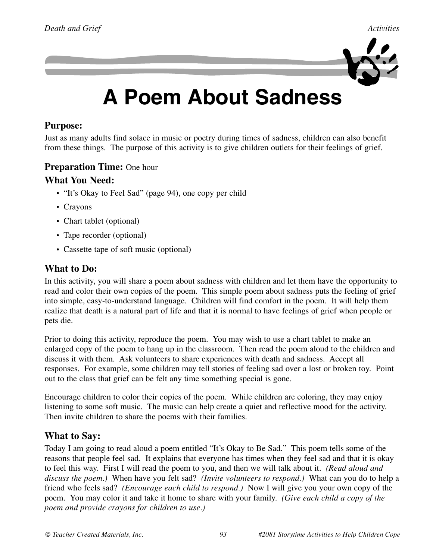

# **A Poem About Sadness**

### **Purpose:**

Just as many adults find solace in music or poetry during times of sadness, children can also benefit from these things. The purpose of this activity is to give children outlets for their feelings of grief.

### **Preparation Time:** One hour

#### **What You Need:**

- "It's Okay to Feel Sad" (page 94), one copy per child
- Crayons
- Chart tablet (optional)
- Tape recorder (optional)
- Cassette tape of soft music (optional)

### **What to Do:**

In this activity, you will share a poem about sadness with children and let them have the opportunity to read and color their own copies of the poem. This simple poem about sadness puts the feeling of grief into simple, easy-to-understand language. Children will find comfort in the poem. It will help them realize that death is a natural part of life and that it is normal to have feelings of grief when people or pets die.

Prior to doing this activity, reproduce the poem. You may wish to use a chart tablet to make an enlarged copy of the poem to hang up in the classroom. Then read the poem aloud to the children and discuss it with them. Ask volunteers to share experiences with death and sadness. Accept all responses. For example, some children may tell stories of feeling sad over a lost or broken toy. Point out to the class that grief can be felt any time something special is gone.

Encourage children to color their copies of the poem. While children are coloring, they may enjoy listening to some soft music. The music can help create a quiet and reflective mood for the activity. Then invite children to share the poems with their families.

### **What to Say:**

Today I am going to read aloud a poem entitled "It's Okay to Be Sad." This poem tells some of the reasons that people feel sad. It explains that everyone has times when they feel sad and that it is okay to feel this way. First I will read the poem to you, and then we will talk about it. *(Read aloud and discuss the poem.)* When have you felt sad? *(Invite volunteers to respond.)* What can you do to help a friend who feels sad? *(Encourage each child to respond.)* Now I will give you your own copy of the poem. You may color it and take it home to share with your family. *(Give each child a copy of the poem and provide crayons for children to use.)*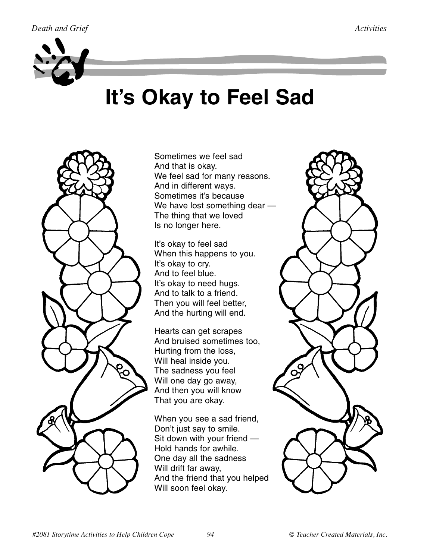

# **It's Okay to Feel Sad**

Sometimes we feel sad And that is okay. We feel sad for many reasons. And in different ways. Sometimes it's because We have lost something dear — The thing that we loved Is no longer here.

It's okay to feel sad When this happens to you. It's okay to cry. And to feel blue. It's okay to need hugs. And to talk to a friend. Then you will feel better, And the hurting will end.

Hearts can get scrapes And bruised sometimes too, Hurting from the loss, Will heal inside you. The sadness you feel Will one day go away, And then you will know That you are okay.

When you see a sad friend, Don't just say to smile. Sit down with your friend — Hold hands for awhile. One day all the sadness Will drift far away, And the friend that you helped Will soon feel okay.

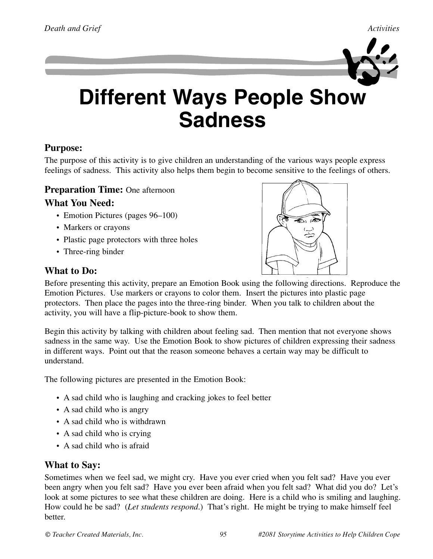

## **Different Ways People Show Sadness**

### **Purpose:**

The purpose of this activity is to give children an understanding of the various ways people express feelings of sadness. This activity also helps them begin to become sensitive to the feelings of others.

#### **Preparation Time:** One afternoon

#### **What You Need:**

- Emotion Pictures (pages 96–100)
- Markers or crayons
- Plastic page protectors with three holes
- Three-ring binder

#### **What to Do:**



Before presenting this activity, prepare an Emotion Book using the following directions. Reproduce the Emotion Pictures. Use markers or crayons to color them. Insert the pictures into plastic page protectors. Then place the pages into the three-ring binder. When you talk to children about the activity, you will have a flip-picture-book to show them.

Begin this activity by talking with children about feeling sad. Then mention that not everyone shows sadness in the same way. Use the Emotion Book to show pictures of children expressing their sadness in different ways. Point out that the reason someone behaves a certain way may be difficult to understand.

The following pictures are presented in the Emotion Book:

- A sad child who is laughing and cracking jokes to feel better
- A sad child who is angry
- A sad child who is withdrawn
- A sad child who is crying
- A sad child who is afraid

#### **What to Say:**

Sometimes when we feel sad, we might cry. Have you ever cried when you felt sad? Have you ever been angry when you felt sad? Have you ever been afraid when you felt sad? What did you do? Let's look at some pictures to see what these children are doing. Here is a child who is smiling and laughing. How could he be sad? (*Let students respond*.) That's right. He might be trying to make himself feel better.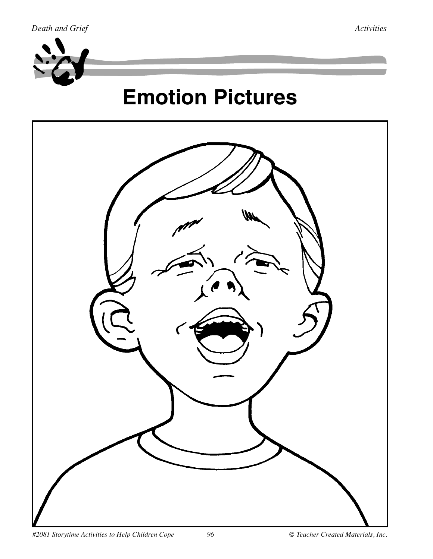

# **Emotion Pictures**

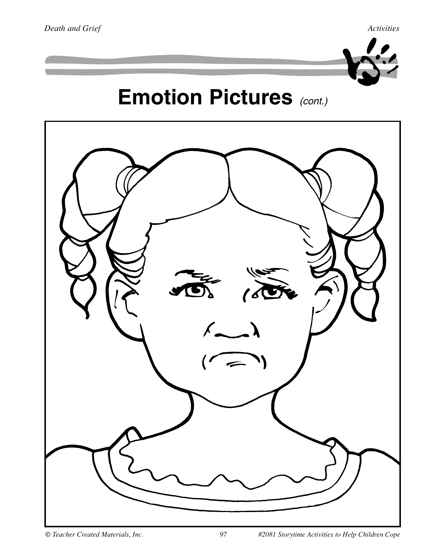

## **Emotion Pictures** *(cont.)*

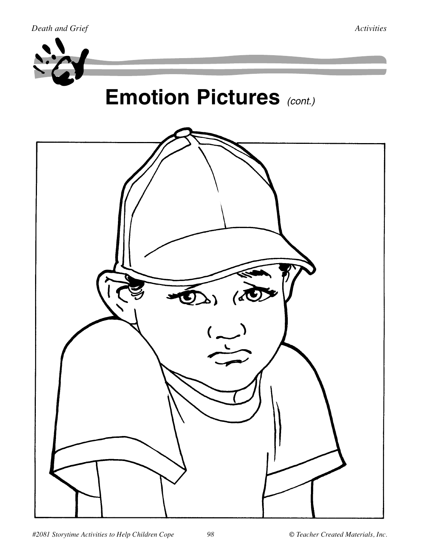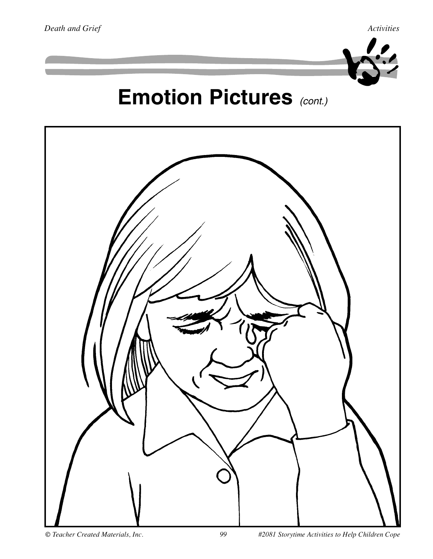

# **Emotion Pictures** *(cont.)*